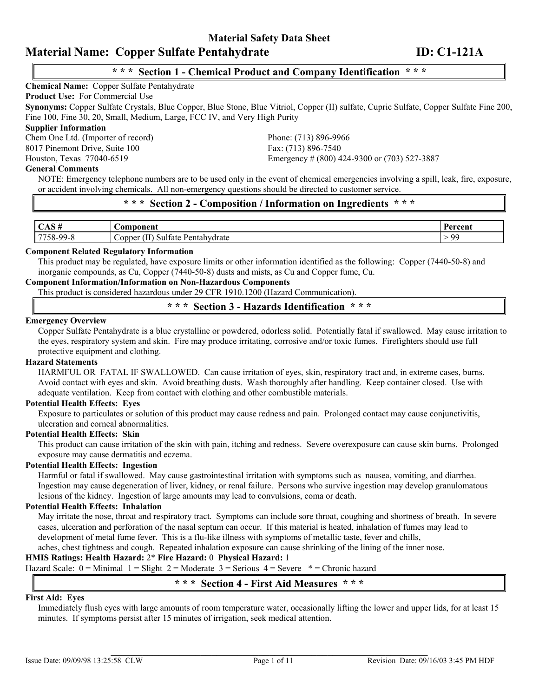# **\* \* \* Section 1 - Chemical Product and Company Identification \* \* \***

#### **Chemical Name:** Copper Sulfate Pentahydrate

**Product Use:** For Commercial Use

**Synonyms:** Copper Sulfate Crystals, Blue Copper, Blue Stone, Blue Vitriol, Copper (II) sulfate, Cupric Sulfate, Copper Sulfate Fine 200, Fine 100, Fine 30, 20, Small, Medium, Large, FCC IV, and Very High Purity

#### **Supplier Information**

Chem One Ltd. (Importer of record) Phone: (713) 896-9966 8017 Pinemont Drive, Suite 100 Fax: (713) 896-7540

#### **General Comments**

Houston, Texas 77040-6519 Emergency # (800) 424-9300 or (703) 527-3887

NOTE: Emergency telephone numbers are to be used only in the event of chemical emergencies involving a spill, leak, fire, exposure, or accident involving chemicals. All non-emergency questions should be directed to customer service.

# **\* \* \* Section 2 - Composition / Information on Ingredients \* \* \***

| $\sim$ $\sim$     | oonent<br>$\mathcal{L}$ 0m $\mathcal{L}$                                                     | Percent |
|-------------------|----------------------------------------------------------------------------------------------|---------|
| 7750<br>$.8-99-8$ | $\mathbf{1} \cdot \mathbf{1}$<br>$\sim$<br>Pentahydrate<br>Copper<br>Ifate<br>,,,<br>ാപ<br>. | . QQ    |

#### **Component Related Regulatory Information**

This product may be regulated, have exposure limits or other information identified as the following: Copper (7440-50-8) and inorganic compounds, as Cu, Copper (7440-50-8) dusts and mists, as Cu and Copper fume, Cu.

# **Component Information/Information on Non-Hazardous Components**

This product is considered hazardous under 29 CFR 1910.1200 (Hazard Communication).

**\* \* \* Section 3 - Hazards Identification \* \* \***

# **Emergency Overview**

Copper Sulfate Pentahydrate is a blue crystalline or powdered, odorless solid. Potentially fatal if swallowed. May cause irritation to the eyes, respiratory system and skin. Fire may produce irritating, corrosive and/or toxic fumes. Firefighters should use full protective equipment and clothing.

#### **Hazard Statements**

HARMFUL OR FATAL IF SWALLOWED. Can cause irritation of eyes, skin, respiratory tract and, in extreme cases, burns. Avoid contact with eyes and skin. Avoid breathing dusts. Wash thoroughly after handling. Keep container closed. Use with adequate ventilation. Keep from contact with clothing and other combustible materials.

#### **Potential Health Effects: Eyes**

Exposure to particulates or solution of this product may cause redness and pain. Prolonged contact may cause conjunctivitis, ulceration and corneal abnormalities.

#### **Potential Health Effects: Skin**

This product can cause irritation of the skin with pain, itching and redness. Severe overexposure can cause skin burns. Prolonged exposure may cause dermatitis and eczema.

#### **Potential Health Effects: Ingestion**

Harmful or fatal if swallowed. May cause gastrointestinal irritation with symptoms such as nausea, vomiting, and diarrhea. Ingestion may cause degeneration of liver, kidney, or renal failure. Persons who survive ingestion may develop granulomatous lesions of the kidney. Ingestion of large amounts may lead to convulsions, coma or death.

### **Potential Health Effects: Inhalation**

May irritate the nose, throat and respiratory tract. Symptoms can include sore throat, coughing and shortness of breath. In severe cases, ulceration and perforation of the nasal septum can occur. If this material is heated, inhalation of fumes may lead to development of metal fume fever. This is a flu-like illness with symptoms of metallic taste, fever and chills,

aches, chest tightness and cough. Repeated inhalation exposure can cause shrinking of the lining of the inner nose.

# **HMIS Ratings: Health Hazard:** 2\* **Fire Hazard:** 0 **Physical Hazard:** 1

Hazard Scale:  $0 =$ Minimal  $1 =$ Slight  $2 =$ Moderate  $3 =$ Serious  $4 =$ Severe  $* =$ Chronic hazard

# **\* \* \* Section 4 - First Aid Measures \* \* \***

#### **First Aid: Eyes**

Immediately flush eyes with large amounts of room temperature water, occasionally lifting the lower and upper lids, for at least 15 minutes. If symptoms persist after 15 minutes of irrigation, seek medical attention.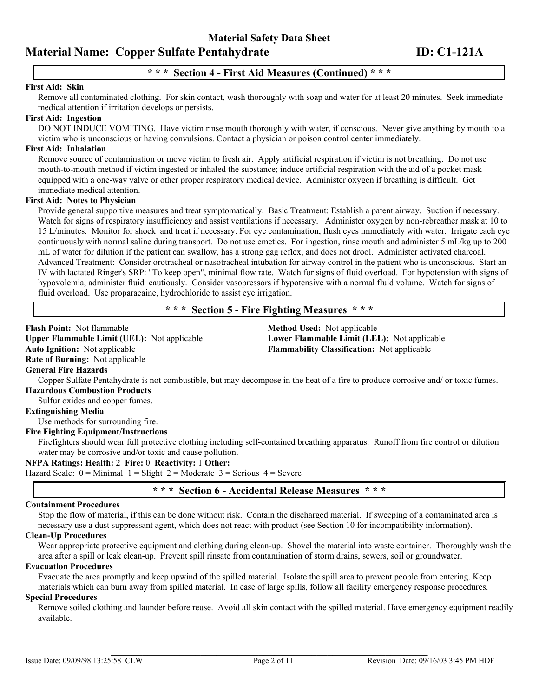# **\* \* \* Section 4 - First Aid Measures (Continued) \* \* \***

### **First Aid: Skin**

Remove all contaminated clothing. For skin contact, wash thoroughly with soap and water for at least 20 minutes. Seek immediate medical attention if irritation develops or persists.

### **First Aid: Ingestion**

DO NOT INDUCE VOMITING. Have victim rinse mouth thoroughly with water, if conscious. Never give anything by mouth to a victim who is unconscious or having convulsions. Contact a physician or poison control center immediately.

#### **First Aid: Inhalation**

Remove source of contamination or move victim to fresh air. Apply artificial respiration if victim is not breathing. Do not use mouth-to-mouth method if victim ingested or inhaled the substance; induce artificial respiration with the aid of a pocket mask equipped with a one-way valve or other proper respiratory medical device. Administer oxygen if breathing is difficult. Get immediate medical attention.

#### **First Aid: Notes to Physician**

Provide general supportive measures and treat symptomatically. Basic Treatment: Establish a patent airway. Suction if necessary. Watch for signs of respiratory insufficiency and assist ventilations if necessary. Administer oxygen by non-rebreather mask at 10 to 15 L/minutes. Monitor for shock and treat if necessary. For eye contamination, flush eyes immediately with water. Irrigate each eye continuously with normal saline during transport. Do not use emetics. For ingestion, rinse mouth and administer 5 mL/kg up to 200 mL of water for dilution if the patient can swallow, has a strong gag reflex, and does not drool. Administer activated charcoal. Advanced Treatment: Consider orotracheal or nasotracheal intubation for airway control in the patient who is unconscious. Start an IV with lactated Ringer's SRP: "To keep open", minimal flow rate. Watch for signs of fluid overload. For hypotension with signs of hypovolemia, administer fluid cautiously. Consider vasopressors if hypotensive with a normal fluid volume. Watch for signs of fluid overload. Use proparacaine, hydrochloride to assist eye irrigation.

# **\* \* \* Section 5 - Fire Fighting Measures \* \* \***

## **Flash Point:** Not flammable **Method Used:** Not applicable **Upper Flammable Limit (UEL):** Not applicable **Lower Flammable Limit (LEL):** Not applicable **Auto Ignition:** Not applicable **Flammability Classification:** Not applicable **Rate of Burning:** Not applicable **General Fire Hazards** Copper Sulfate Pentahydrate is not combustible, but may decompose in the heat of a fire to produce corrosive and/ or toxic fumes. **Hazardous Combustion Products** Sulfur oxides and copper fumes. **Extinguishing Media** Use methods for surrounding fire. **Fire Fighting Equipment/Instructions** Firefighters should wear full protective clothing including self-contained breathing apparatus. Runoff from fire control or dilution water may be corrosive and/or toxic and cause pollution. **NFPA Ratings: Health:** 2 **Fire:** 0 **Reactivity:** 1 **Other:** Hazard Scale:  $0 =$  Minimal  $1 =$  Slight  $2 =$  Moderate  $3 =$  Serious  $4 =$  Severe **\* \* \* Section 6 - Accidental Release Measures \* \* \* Containment Procedures** Stop the flow of material, if this can be done without risk. Contain the discharged material. If sweeping of a contaminated area is

necessary use a dust suppressant agent, which does not react with product (see Section 10 for incompatibility information).

#### **Clean-Up Procedures**

Wear appropriate protective equipment and clothing during clean-up. Shovel the material into waste container. Thoroughly wash the area after a spill or leak clean-up. Prevent spill rinsate from contamination of storm drains, sewers, soil or groundwater.

#### **Evacuation Procedures**

Evacuate the area promptly and keep upwind of the spilled material. Isolate the spill area to prevent people from entering. Keep materials which can burn away from spilled material. In case of large spills, follow all facility emergency response procedures.

#### **Special Procedures**

Remove soiled clothing and launder before reuse. Avoid all skin contact with the spilled material. Have emergency equipment readily available.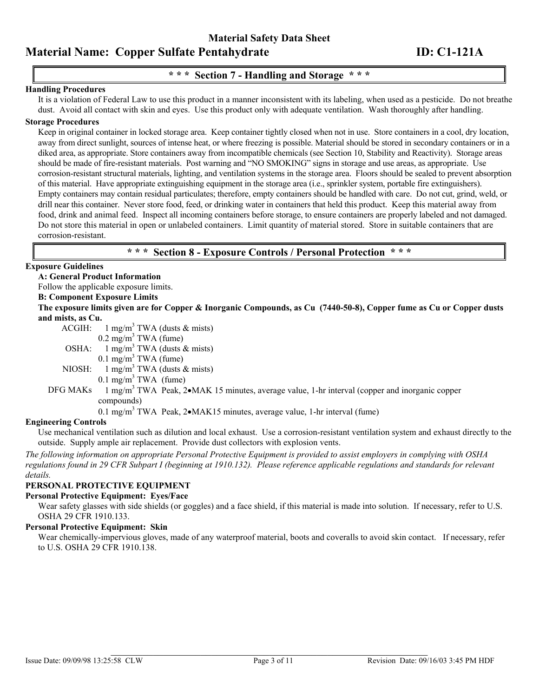# **\* \* \* Section 7 - Handling and Storage \* \* \***

#### **Handling Procedures**

It is a violation of Federal Law to use this product in a manner inconsistent with its labeling, when used as a pesticide. Do not breathe dust. Avoid all contact with skin and eyes. Use this product only with adequate ventilation. Wash thoroughly after handling.

#### **Storage Procedures**

Keep in original container in locked storage area. Keep container tightly closed when not in use. Store containers in a cool, dry location, away from direct sunlight, sources of intense heat, or where freezing is possible. Material should be stored in secondary containers or in a diked area, as appropriate. Store containers away from incompatible chemicals (see Section 10, Stability and Reactivity). Storage areas should be made of fire-resistant materials. Post warning and "NO SMOKING" signs in storage and use areas, as appropriate. Use corrosion-resistant structural materials, lighting, and ventilation systems in the storage area. Floors should be sealed to prevent absorption of this material. Have appropriate extinguishing equipment in the storage area (i.e., sprinkler system, portable fire extinguishers). Empty containers may contain residual particulates; therefore, empty containers should be handled with care. Do not cut, grind, weld, or drill near this container. Never store food, feed, or drinking water in containers that held this product. Keep this material away from food, drink and animal feed. Inspect all incoming containers before storage, to ensure containers are properly labeled and not damaged. Do not store this material in open or unlabeled containers. Limit quantity of material stored. Store in suitable containers that are corrosion-resistant.

### **\* \* \* Section 8 - Exposure Controls / Personal Protection \* \* \***

#### **Exposure Guidelines**

**A: General Product Information**

Follow the applicable exposure limits.

# **B: Component Exposure Limits**

**The exposure limits given are for Copper & Inorganic Compounds, as Cu (7440-50-8), Copper fume as Cu or Copper dusts and mists, as Cu.**

ACGIH:  $1 \text{ mg/m}^3 \text{ TWA}$  (dusts & mists)

 $0.2 \text{ mg/m}^3$  TWA (fume)

OSHA:  $1 \text{ mg/m}^3$  TWA (dusts & mists)

 $0.1 \text{ mg/m}^3$  TWA (fume)

NIOSH:  $1 \text{ mg/m}^3$  TWA (dusts & mists)

 $0.1 \text{ mg/m}^3$  TWA (fume)

#### DFG MAKs  $T_1 \text{mg/m}^3$  TWA Peak,  $2 \cdot MAK$  15 minutes, average value, 1-hr interval (copper and inorganic copper compounds)

0.1 mg/m<sup>3</sup> TWA Peak, 2•MAK15 minutes, average value, 1-hr interval (fume)

#### **Engineering Controls**

Use mechanical ventilation such as dilution and local exhaust. Use a corrosion-resistant ventilation system and exhaust directly to the outside. Supply ample air replacement. Provide dust collectors with explosion vents.

*The following information on appropriate Personal Protective Equipment is provided to assist employers in complying with OSHA regulations found in 29 CFR Subpart I (beginning at 1910.132). Please reference applicable regulations and standards for relevant details.* 

#### **PERSONAL PROTECTIVE EQUIPMENT**

#### **Personal Protective Equipment: Eyes/Face**

Wear safety glasses with side shields (or goggles) and a face shield, if this material is made into solution. If necessary, refer to U.S. OSHA 29 CFR 1910.133.

### **Personal Protective Equipment: Skin**

Wear chemically-impervious gloves, made of any waterproof material, boots and coveralls to avoid skin contact. If necessary, refer to U.S. OSHA 29 CFR 1910.138.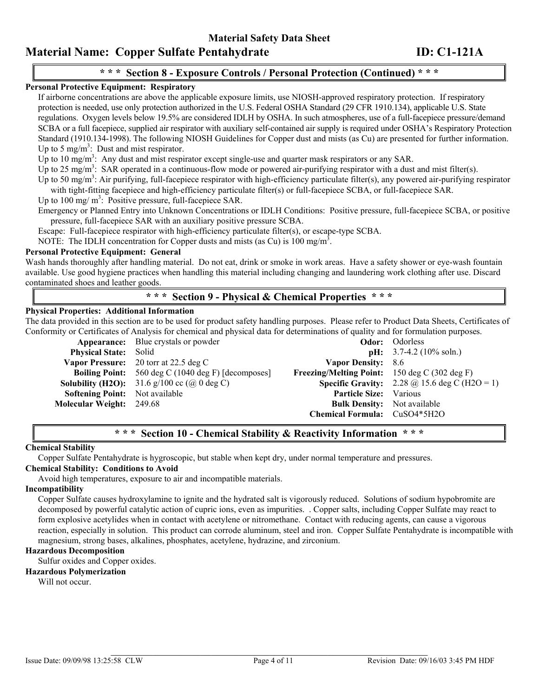**Material Safety Data Sheet** 

# **Material Name: Copper Sulfate Pentahydrate ID: C1-121A**

# **\* \* \* Section 8 - Exposure Controls / Personal Protection (Continued) \* \* \***

# **Personal Protective Equipment: Respiratory**

If airborne concentrations are above the applicable exposure limits, use NIOSH-approved respiratory protection. If respiratory protection is needed, use only protection authorized in the U.S. Federal OSHA Standard (29 CFR 1910.134), applicable U.S. State regulations. Oxygen levels below 19.5% are considered IDLH by OSHA. In such atmospheres, use of a full-facepiece pressure/demand SCBA or a full facepiece, supplied air respirator with auxiliary self-contained air supply is required under OSHA's Respiratory Protection Standard (1910.134-1998). The following NIOSH Guidelines for Copper dust and mists (as Cu) are presented for further information. Up to 5 mg/m<sup>3</sup>: Dust and mist respirator.

Up to 10 mg/m<sup>3</sup>: Any dust and mist respirator except single-use and quarter mask respirators or any SAR.

Up to 25 mg/m<sup>3</sup>: SAR operated in a continuous-flow mode or powered air-purifying respirator with a dust and mist filter(s).

Up to 50 mg/m<sup>3</sup>: Air purifying, full-facepiece respirator with high-efficiency particulate filter(s), any powered air-purifying respirator with tight-fitting facepiece and high-efficiency particulate filter(s) or full-facepiece SCBA, or full-facepiece SAR.

Up to  $100 \text{ mg/m}^3$ : Positive pressure, full-facepiece SAR.

Emergency or Planned Entry into Unknown Concentrations or IDLH Conditions: Positive pressure, full-facepiece SCBA, or positive pressure, full-facepiece SAR with an auxiliary positive pressure SCBA.

Escape: Full-facepiece respirator with high-efficiency particulate filter(s), or escape-type SCBA.

NOTE: The IDLH concentration for Copper dusts and mists (as Cu) is  $100 \text{ mg/m}^3$ .

### **Personal Protective Equipment: General**

Wash hands thoroughly after handling material. Do not eat, drink or smoke in work areas. Have a safety shower or eye-wash fountain available. Use good hygiene practices when handling this material including changing and laundering work clothing after use. Discard contaminated shoes and leather goods.

# **\* \* \* Section 9 - Physical & Chemical Properties \* \* \***

#### **Physical Properties: Additional Information**

The data provided in this section are to be used for product safety handling purposes. Please refer to Product Data Sheets, Certificates of Conformity or Certificates of Analysis for chemical and physical data for determinations of quality and for formulation purposes.

|                                       | <b>Appearance:</b> Blue crystals or powder                 |                                                      | <b>Odor:</b> Odorless                                       |
|---------------------------------------|------------------------------------------------------------|------------------------------------------------------|-------------------------------------------------------------|
| <b>Physical State:</b> Solid          |                                                            |                                                      | $pH: 3.7-4.2$ (10% soln.)                                   |
|                                       | Vapor Pressure: 20 torr at 22.5 deg C                      | Vapor Density: 8.6                                   |                                                             |
|                                       | <b>Boiling Point:</b> 560 deg C (1040 deg F) [decomposes]  | <b>Freezing/Melting Point:</b> 150 deg C (302 deg F) |                                                             |
|                                       | <b>Solubility (H2O):</b> 31.6 g/100 cc ( $\omega$ ) deg C) |                                                      | <b>Specific Gravity:</b> 2.28 $\omega$ 15.6 deg C (H2O = 1) |
| <b>Softening Point:</b> Not available |                                                            | Particle Size: Various                               |                                                             |
| Molecular Weight: 249.68              |                                                            | <b>Bulk Density:</b> Not available                   |                                                             |
|                                       |                                                            | <b>Chemical Formula:</b> CuSO4*5H2O                  |                                                             |

# **\* \* \* Section 10 - Chemical Stability & Reactivity Information \* \* \***

#### **Chemical Stability**

Copper Sulfate Pentahydrate is hygroscopic, but stable when kept dry, under normal temperature and pressures.

### **Chemical Stability: Conditions to Avoid**

Avoid high temperatures, exposure to air and incompatible materials.

#### **Incompatibility**

Copper Sulfate causes hydroxylamine to ignite and the hydrated salt is vigorously reduced. Solutions of sodium hypobromite are decomposed by powerful catalytic action of cupric ions, even as impurities. . Copper salts, including Copper Sulfate may react to form explosive acetylides when in contact with acetylene or nitromethane. Contact with reducing agents, can cause a vigorous reaction, especially in solution. This product can corrode aluminum, steel and iron. Copper Sulfate Pentahydrate is incompatible with magnesium, strong bases, alkalines, phosphates, acetylene, hydrazine, and zirconium.

### **Hazardous Decomposition**

Sulfur oxides and Copper oxides.

### **Hazardous Polymerization**

Will not occur.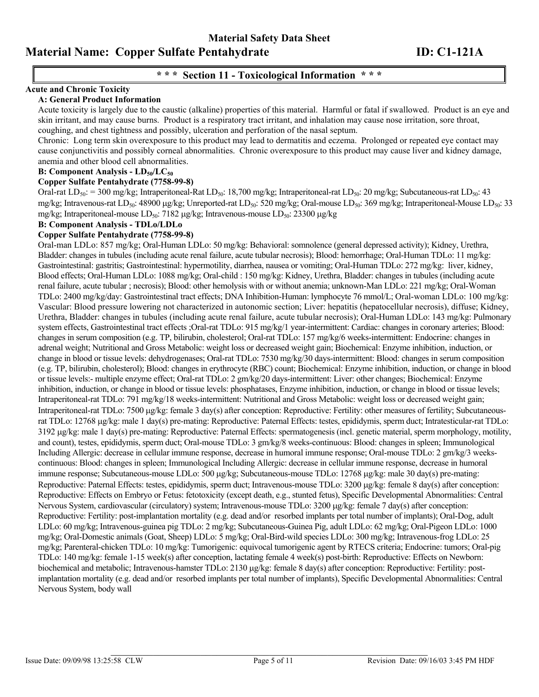# **\* \* \* Section 11 - Toxicological Information \* \* \***

# **Acute and Chronic Toxicity**

#### **A: General Product Information**

Acute toxicity is largely due to the caustic (alkaline) properties of this material. Harmful or fatal if swallowed. Product is an eye and skin irritant, and may cause burns. Product is a respiratory tract irritant, and inhalation may cause nose irritation, sore throat, coughing, and chest tightness and possibly, ulceration and perforation of the nasal septum.

Chronic: Long term skin overexposure to this product may lead to dermatitis and eczema. Prolonged or repeated eye contact may cause conjunctivitis and possibly corneal abnormalities. Chronic overexposure to this product may cause liver and kidney damage, anemia and other blood cell abnormalities.

#### **B: Component Analysis - LD<sub>50</sub>/LC<sub>50</sub>**

#### **Copper Sulfate Pentahydrate (7758-99-8)**

Oral-rat  $LD_{50}$ : = 300 mg/kg; Intraperitoneal-Rat  $LD_{50}$ : 18,700 mg/kg; Intraperitoneal-rat  $LD_{50}$ : 20 mg/kg; Subcutaneous-rat  $LD_{50}$ : 43 mg/kg; Intravenous-rat LD<sub>50</sub>: 48900 µg/kg; Unreported-rat LD<sub>50</sub>: 520 mg/kg; Oral-mouse LD<sub>50</sub>: 369 mg/kg; Intraperitoneal-Mouse LD<sub>50</sub>: 33 mg/kg; Intraperitoneal-mouse LD<sub>50</sub>: 7182 µg/kg; Intravenous-mouse LD<sub>50</sub>: 23300 µg/kg

### **B: Component Analysis - TDLo/LDLo**

#### **Copper Sulfate Pentahydrate (7758-99-8)**

Oral-man LDLo: 857 mg/kg; Oral-Human LDLo: 50 mg/kg: Behavioral: somnolence (general depressed activity); Kidney, Urethra, Bladder: changes in tubules (including acute renal failure, acute tubular necrosis); Blood: hemorrhage; Oral-Human TDLo: 11 mg/kg: Gastrointestinal: gastritis; Gastrointestinal: hypermotility, diarrhea, nausea or vomiting; Oral-Human TDLo: 272 mg/kg: liver, kidney, Blood effects; Oral-Human LDLo: 1088 mg/kg; Oral-child : 150 mg/kg: Kidney, Urethra, Bladder: changes in tubules (including acute renal failure, acute tubular ; necrosis); Blood: other hemolysis with or without anemia; unknown-Man LDLo: 221 mg/kg; Oral-Woman TDLo: 2400 mg/kg/day: Gastrointestinal tract effects; DNA Inhibition-Human: lymphocyte 76 mmol/L; Oral-woman LDLo: 100 mg/kg: Vascular: Blood pressure lowering not characterized in autonomic section; Liver: hepatitis (hepatocellular necrosis), diffuse; Kidney, Urethra, Bladder: changes in tubules (including acute renal failure, acute tubular necrosis); Oral-Human LDLo: 143 mg/kg: Pulmonary system effects, Gastrointestinal tract effects ;Oral-rat TDLo: 915 mg/kg/1 year-intermittent: Cardiac: changes in coronary arteries; Blood: changes in serum composition (e.g. TP, bilirubin, cholesterol; Oral-rat TDLo: 157 mg/kg/6 weeks-intermittent: Endocrine: changes in adrenal weight; Nutritional and Gross Metabolic: weight loss or decreased weight gain; Biochemical: Enzyme inhibition, induction, or change in blood or tissue levels: dehydrogenases; Oral-rat TDLo: 7530 mg/kg/30 days-intermittent: Blood: changes in serum composition (e.g. TP, bilirubin, cholesterol); Blood: changes in erythrocyte (RBC) count; Biochemical: Enzyme inhibition, induction, or change in blood or tissue levels:- multiple enzyme effect; Oral-rat TDLo: 2 gm/kg/20 days-intermittent: Liver: other changes; Biochemical: Enzyme inhibition, induction, or change in blood or tissue levels: phosphatases, Enzyme inhibition, induction, or change in blood or tissue levels; Intraperitoneal-rat TDLo: 791 mg/kg/18 weeks-intermittent: Nutritional and Gross Metabolic: weight loss or decreased weight gain; Intraperitoneal-rat TDLo: 7500 µg/kg: female 3 day(s) after conception: Reproductive: Fertility: other measures of fertility; Subcutaneousrat TDLo: 12768 µg/kg: male 1 day(s) pre-mating: Reproductive: Paternal Effects: testes, epididymis, sperm duct; Intratesticular-rat TDLo: 3192 µg/kg: male 1 day(s) pre-mating: Reproductive: Paternal Effects: spermatogenesis (incl. genetic material, sperm morphology, motility, and count), testes, epididymis, sperm duct; Oral-mouse TDLo: 3 gm/kg/8 weeks-continuous: Blood: changes in spleen; Immunological Including Allergic: decrease in cellular immune response, decrease in humoral immune response; Oral-mouse TDLo: 2 gm/kg/3 weekscontinuous: Blood: changes in spleen; Immunological Including Allergic: decrease in cellular immune response, decrease in humoral immune response; Subcutaneous-mouse LDLo: 500 µg/kg; Subcutaneous-mouse TDLo: 12768 µg/kg: male 30 day(s) pre-mating: Reproductive: Paternal Effects: testes, epididymis, sperm duct; Intravenous-mouse TDLo: 3200 µg/kg: female 8 day(s) after conception: Reproductive: Effects on Embryo or Fetus: fetotoxicity (except death, e.g., stunted fetus), Specific Developmental Abnormalities: Central Nervous System, cardiovascular (circulatory) system; Intravenous-mouse TDLo: 3200 µg/kg: female 7 day(s) after conception: Reproductive: Fertility: post-implantation mortality (e.g. dead and/or resorbed implants per total number of implants); Oral-Dog, adult LDLo: 60 mg/kg; Intravenous-guinea pig TDLo: 2 mg/kg; Subcutaneous-Guinea Pig, adult LDLo: 62 mg/kg; Oral-Pigeon LDLo: 1000 mg/kg; Oral-Domestic animals (Goat, Sheep) LDLo: 5 mg/kg; Oral-Bird-wild species LDLo: 300 mg/kg; Intravenous-frog LDLo: 25 mg/kg; Parenteral-chicken TDLo: 10 mg/kg: Tumorigenic: equivocal tumorigenic agent by RTECS criteria; Endocrine: tumors; Oral-pig TDLo: 140 mg/kg: female 1-15 week(s) after conception, lactating female 4 week(s) post-birth: Reproductive: Effects on Newborn: biochemical and metabolic; Intravenous-hamster TDLo: 2130  $\mu$ g/kg: female 8 day(s) after conception: Reproductive: Fertility: postimplantation mortality (e.g. dead and/or resorbed implants per total number of implants), Specific Developmental Abnormalities: Central Nervous System, body wall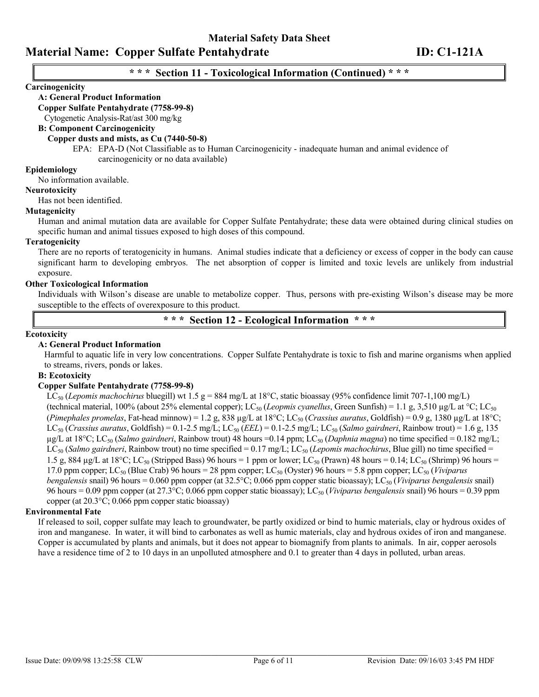# **\* \* \* Section 11 - Toxicological Information (Continued) \* \* \***

#### **Carcinogenicity**

#### **A: General Product Information**

#### **Copper Sulfate Pentahydrate (7758-99-8)**

Cytogenetic Analysis-Rat/ast 300 mg/kg

#### **B: Component Carcinogenicity**

#### **Copper dusts and mists, as Cu (7440-50-8)**

EPA: EPA-D (Not Classifiable as to Human Carcinogenicity - inadequate human and animal evidence of carcinogenicity or no data available)

#### **Epidemiology**

No information available.

#### **Neurotoxicity**

Has not been identified.

#### **Mutagenicity**

Human and animal mutation data are available for Copper Sulfate Pentahydrate; these data were obtained during clinical studies on specific human and animal tissues exposed to high doses of this compound.

#### **Teratogenicity**

There are no reports of teratogenicity in humans. Animal studies indicate that a deficiency or excess of copper in the body can cause significant harm to developing embryos. The net absorption of copper is limited and toxic levels are unlikely from industrial exposure.

#### **Other Toxicological Information**

Individuals with Wilson's disease are unable to metabolize copper. Thus, persons with pre-existing Wilson's disease may be more susceptible to the effects of overexposure to this product.

**\* \* \* Section 12 - Ecological Information \* \* \***

#### **Ecotoxicity**

#### **A: General Product Information**

Harmful to aquatic life in very low concentrations. Copper Sulfate Pentahydrate is toxic to fish and marine organisms when applied to streams, rivers, ponds or lakes.

#### **B: Ecotoxicity**

#### **Copper Sulfate Pentahydrate (7758-99-8)**

 $LC_{50}$  (*Lepomis machochirus* bluegill) wt 1.5 g = 884 mg/L at 18°C, static bioassay (95% confidence limit 707-1,100 mg/L) (technical material, 100% (about 25% elemental copper); LC<sub>50</sub> (*Leopmis cyanellus*, Green Sunfish) = 1.1 g, 3,510 µg/L at °C; LC<sub>50</sub> (*Pimephales promelas*, Fat-head minnow) = 1.2 g, 838  $\mu$ g/L at 18°C; LC<sub>50</sub> (*Crassius auratus*, Goldfish) = 0.9 g, 1380  $\mu$ g/L at 18°C;  $LC_{50}$  (*Crassius auratus*, Goldfish) = 0.1-2.5 mg/L;  $LC_{50}$  (*EEL*) = 0.1-2.5 mg/L;  $LC_{50}$  (*Salmo gairdneri*, Rainbow trout) = 1.6 g, 135 µg/L at 18°C; LC50 (*Salmo gairdneri*, Rainbow trout) 48 hours =0.14 ppm; LC50 (*Daphnia magna*) no time specified = 0.182 mg/L; LC<sub>50</sub> (*Salmo gairdneri*, Rainbow trout) no time specified = 0.17 mg/L; LC<sub>50</sub> (*Lepomis machochirus*, Blue gill) no time specified = 1.5 g, 884  $\mu$ g/L at 18°C; LC<sub>50</sub> (Stripped Bass) 96 hours = 1 ppm or lower; LC<sub>50</sub> (Prawn) 48 hours = 0.14; LC<sub>50</sub> (Shrimp) 96 hours = 17.0 ppm copper; LC<sub>50</sub> (Blue Crab) 96 hours = 28 ppm copper; LC<sub>50</sub> (Oyster) 96 hours = 5.8 ppm copper; LC<sub>50</sub> (*Viviparus bengalensis* snail) 96 hours = 0.060 ppm copper (at 32.5°C; 0.066 ppm copper static bioassay); LC<sub>50</sub> (*Viviparus bengalensis* snail) 96 hours = 0.09 ppm copper (at 27.3°C; 0.066 ppm copper static bioassay); LC50 (*Viviparus bengalensis* snail) 96 hours = 0.39 ppm copper (at 20.3°C; 0.066 ppm copper static bioassay)

#### **Environmental Fate**

If released to soil, copper sulfate may leach to groundwater, be partly oxidized or bind to humic materials, clay or hydrous oxides of iron and manganese. In water, it will bind to carbonates as well as humic materials, clay and hydrous oxides of iron and manganese. Copper is accumulated by plants and animals, but it does not appear to biomagnify from plants to animals. In air, copper aerosols have a residence time of 2 to 10 days in an unpolluted atmosphere and 0.1 to greater than 4 days in polluted, urban areas.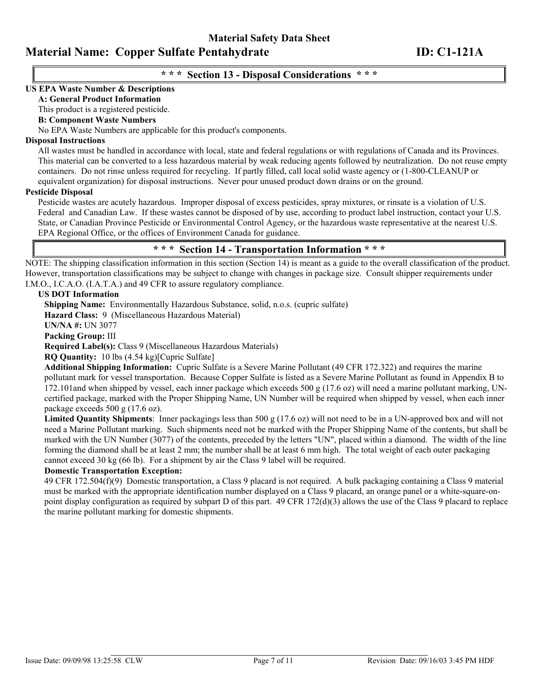## **\* \* \* Section 13 - Disposal Considerations \* \* \***

#### **US EPA Waste Number & Descriptions**

### **A: General Product Information**

This product is a registered pesticide.

#### **B: Component Waste Numbers**

No EPA Waste Numbers are applicable for this product's components.

#### **Disposal Instructions**

All wastes must be handled in accordance with local, state and federal regulations or with regulations of Canada and its Provinces. This material can be converted to a less hazardous material by weak reducing agents followed by neutralization. Do not reuse empty containers. Do not rinse unless required for recycling. If partly filled, call local solid waste agency or (1-800-CLEANUP or equivalent organization) for disposal instructions. Never pour unused product down drains or on the ground.

#### **Pesticide Disposal**

Pesticide wastes are acutely hazardous. Improper disposal of excess pesticides, spray mixtures, or rinsate is a violation of U.S. Federal and Canadian Law. If these wastes cannot be disposed of by use, according to product label instruction, contact your U.S. State, or Canadian Province Pesticide or Environmental Control Agency, or the hazardous waste representative at the nearest U.S. EPA Regional Office, or the offices of Environment Canada for guidance.

# **\* \* \* Section 14 - Transportation Information \* \* \***

NOTE: The shipping classification information in this section (Section 14) is meant as a guide to the overall classification of the product. However, transportation classifications may be subject to change with changes in package size. Consult shipper requirements under I.M.O., I.C.A.O. (I.A.T.A.) and 49 CFR to assure regulatory compliance.

#### **US DOT Information**

**Shipping Name:** Environmentally Hazardous Substance, solid, n.o.s. (cupric sulfate)

**Hazard Class:** 9 (Miscellaneous Hazardous Material)

**UN/NA #:** UN 3077

**Packing Group:** III

**Required Label(s):** Class 9 (Miscellaneous Hazardous Materials)

**RQ Quantity:** 10 lbs (4.54 kg)[Cupric Sulfate]

**Additional Shipping Information:** Cupric Sulfate is a Severe Marine Pollutant (49 CFR 172.322) and requires the marine pollutant mark for vessel transportation. Because Copper Sulfate is listed as a Severe Marine Pollutant as found in Appendix B to 172.101and when shipped by vessel, each inner package which exceeds 500 g (17.6 oz) will need a marine pollutant marking, UNcertified package, marked with the Proper Shipping Name, UN Number will be required when shipped by vessel, when each inner package exceeds 500 g (17.6 oz).

**Limited Quantity Shipments**: Inner packagings less than 500 g (17.6 oz) will not need to be in a UN-approved box and will not need a Marine Pollutant marking. Such shipments need not be marked with the Proper Shipping Name of the contents, but shall be marked with the UN Number (3077) of the contents, preceded by the letters "UN", placed within a diamond. The width of the line forming the diamond shall be at least 2 mm; the number shall be at least 6 mm high. The total weight of each outer packaging cannot exceed 30 kg (66 lb). For a shipment by air the Class 9 label will be required.

#### **Domestic Transportation Exception:**

49 CFR 172.504(f)(9) Domestic transportation, a Class 9 placard is not required. A bulk packaging containing a Class 9 material must be marked with the appropriate identification number displayed on a Class 9 placard, an orange panel or a white-square-onpoint display configuration as required by subpart D of this part. 49 CFR 172(d)(3) allows the use of the Class 9 placard to replace the marine pollutant marking for domestic shipments.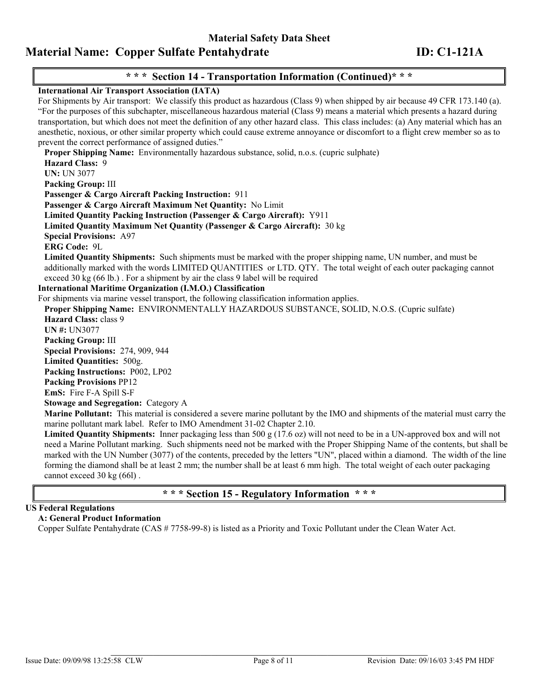# **\* \* \* Section 14 - Transportation Information (Continued)\* \* \***

#### **International Air Transport Association (IATA)**

For Shipments by Air transport: We classify this product as hazardous (Class 9) when shipped by air because 49 CFR 173.140 (a). "For the purposes of this subchapter, miscellaneous hazardous material (Class 9) means a material which presents a hazard during transportation, but which does not meet the definition of any other hazard class. This class includes: (a) Any material which has an anesthetic, noxious, or other similar property which could cause extreme annoyance or discomfort to a flight crew member so as to prevent the correct performance of assigned duties." **Proper Shipping Name:** Environmentally hazardous substance, solid, n.o.s. (cupric sulphate) **Hazard Class:** 9 **UN:** UN 3077 **Packing Group:** III **Passenger & Cargo Aircraft Packing Instruction:** 911 **Passenger & Cargo Aircraft Maximum Net Quantity:** No Limit **Limited Quantity Packing Instruction (Passenger & Cargo Aircraft):** Y911 **Limited Quantity Maximum Net Quantity (Passenger & Cargo Aircraft):** 30 kg **Special Provisions:** A97 **ERG Code:** 9L **Limited Quantity Shipments:** Such shipments must be marked with the proper shipping name, UN number, and must be additionally marked with the words LIMITED QUANTITIES or LTD. QTY. The total weight of each outer packaging cannot exceed 30 kg (66 lb.) . For a shipment by air the class 9 label will be required **International Maritime Organization (I.M.O.) Classification**  For shipments via marine vessel transport, the following classification information applies. **Proper Shipping Name:** ENVIRONMENTALLY HAZARDOUS SUBSTANCE, SOLID, N.O.S. (Cupric sulfate) **Hazard Class:** class 9 **UN #:** UN3077 **Packing Group:** III **Special Provisions:** 274, 909, 944 **Limited Quantities:** 500g. **Packing Instructions:** P002, LP02 **Packing Provisions** PP12 **EmS:** Fire F-A Spill S-F **Stowage and Segregation:** Category A **Marine Pollutant:** This material is considered a severe marine pollutant by the IMO and shipments of the material must carry the marine pollutant mark label. Refer to IMO Amendment 31-02 Chapter 2.10. **Limited Quantity Shipments:** Inner packaging less than 500 g (17.6 oz) will not need to be in a UN-approved box and will not need a Marine Pollutant marking. Such shipments need not be marked with the Proper Shipping Name of the contents, but shall be marked with the UN Number (3077) of the contents, preceded by the letters "UN", placed within a diamond. The width of the line forming the diamond shall be at least 2 mm; the number shall be at least 6 mm high. The total weight of each outer packaging cannot exceed 30 kg (66l) .

### **\* \* \* Section 15 - Regulatory Information \* \* \***

## **US Federal Regulations**

### **A: General Product Information**

Copper Sulfate Pentahydrate (CAS # 7758-99-8) is listed as a Priority and Toxic Pollutant under the Clean Water Act.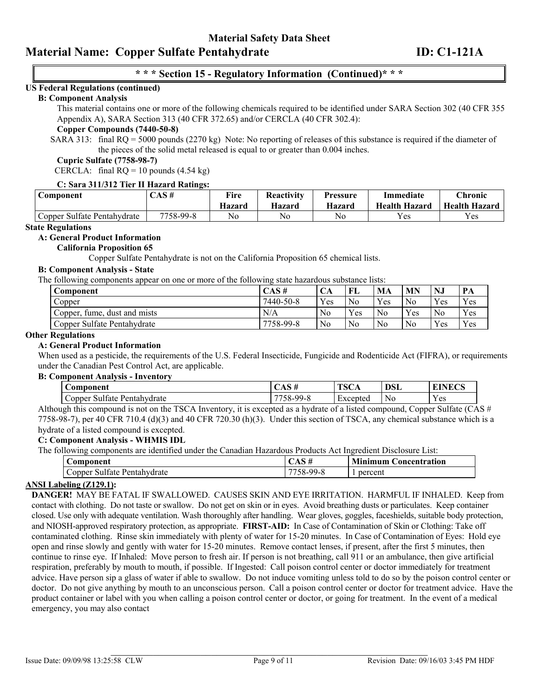## **\* \* \* Section 15 - Regulatory Information (Continued)\* \* \***

### **US Federal Regulations (continued)**

#### **B: Component Analysis**

This material contains one or more of the following chemicals required to be identified under SARA Section 302 (40 CFR 355 Appendix A), SARA Section 313 (40 CFR 372.65) and/or CERCLA (40 CFR 302.4):

#### **Copper Compounds (7440-50-8)**

SARA 313: final RQ = 5000 pounds (2270 kg) Note: No reporting of releases of this substance is required if the diameter of the pieces of the solid metal released is equal to or greater than 0.004 inches.

#### **Cupric Sulfate (7758-98-7)**

CERCLA: final  $RQ = 10$  pounds (4.54 kg)

#### **C: Sara 311/312 Tier II Hazard Ratings:**

| Component                   | CAS #     | Fire<br>Hazard | Reactivity<br>Hazard | <b>Pressure</b><br><b>Hazard</b> | Immediate<br><b>Health Hazard</b> | Chronic<br><b>Health Hazard</b> |
|-----------------------------|-----------|----------------|----------------------|----------------------------------|-----------------------------------|---------------------------------|
| Copper Sulfate Pentahydrate | 7758-99-8 | No             | No                   | No                               | Yes                               | Yes                             |

#### **State Regulations**

#### **A: General Product Information**

#### **California Proposition 65**

Copper Sulfate Pentahydrate is not on the California Proposition 65 chemical lists.

#### **B: Component Analysis - State**

The following components appear on one or more of the following state hazardous substance lists:

| Component                       | CAS #     | CА             | FL             | MA             | <b>MN</b> | NJ             | - PA |
|---------------------------------|-----------|----------------|----------------|----------------|-----------|----------------|------|
| Copper                          | 7440-50-8 | Yes            | N <sub>0</sub> | Yes            | No.       | Yes            | Yes  |
| fume, dust and mists<br>Copper. | N/A       | N <sub>0</sub> | Yes            | N <sub>0</sub> | Yes       | N <sub>0</sub> | Yes  |
| Copper Sulfate Pentahydrate     | 7758-99-8 | N <sub>o</sub> | N <sub>0</sub> | N <sub>0</sub> | No        | Yes            | Yes  |

#### **Other Regulations**

#### **A: General Product Information**

When used as a pesticide, the requirements of the U.S. Federal Insecticide, Fungicide and Rodenticide Act (FIFRA), or requirements under the Canadian Pest Control Act, are applicable. **B: Component Analysis - Inventory**

| . www.ww.circle.com<br>$\cdots$                       |                                            |                        |                |                  |  |  |  |  |
|-------------------------------------------------------|--------------------------------------------|------------------------|----------------|------------------|--|--|--|--|
| Component                                             | СЛО П                                      | <b>TO O</b><br>1 5 C A | <b>DSL</b>     | 'INF <i>C</i> 'S |  |  |  |  |
| $\sim$<br>Pentahydrate<br>utate<br>$\cup$ opper<br>Sυ | 7750<br>$^{\circ}$ 99- $\lambda$<br>$20 -$ | Excepted               | N <sub>0</sub> | Yes              |  |  |  |  |

Although this compound is not on the TSCA Inventory, it is excepted as a hydrate of a listed compound, Copper Sulfate (CAS  $#$ 7758-98-7), per 40 CFR 710.4 (d)(3) and 40 CFR 720.30 (h)(3). Under this section of TSCA, any chemical substance which is a hydrate of a listed compound is excepted.

### **C: Component Analysis - WHMIS IDL**

The following components are identified under the Canadian Hazardous Products Act Ingredient Disclosure List:

| ست<br><b>Component</b>                            | UAD #           | <b>Minimum</b><br>Concentration |  |  |
|---------------------------------------------------|-----------------|---------------------------------|--|--|
| $\sim$<br>$\cup$ opper<br>sultate<br>Pentahydrate | 7750<br>8-99-8د | percent                         |  |  |

#### **ANSI Labeling (Z129.1):**

**DANGER!** MAY BE FATAL IF SWALLOWED. CAUSES SKIN AND EYE IRRITATION. HARMFUL IF INHALED. Keep from contact with clothing. Do not taste or swallow. Do not get on skin or in eyes. Avoid breathing dusts or particulates. Keep container closed. Use only with adequate ventilation. Wash thoroughly after handling. Wear gloves, goggles, faceshields, suitable body protection, and NIOSH-approved respiratory protection, as appropriate. **FIRST-AID:** In Case of Contamination of Skin or Clothing: Take off contaminated clothing. Rinse skin immediately with plenty of water for 15-20 minutes. In Case of Contamination of Eyes: Hold eye open and rinse slowly and gently with water for 15-20 minutes. Remove contact lenses, if present, after the first 5 minutes, then continue to rinse eye. If Inhaled: Move person to fresh air. If person is not breathing, call 911 or an ambulance, then give artificial respiration, preferably by mouth to mouth, if possible. If Ingested: Call poison control center or doctor immediately for treatment advice. Have person sip a glass of water if able to swallow. Do not induce vomiting unless told to do so by the poison control center or doctor. Do not give anything by mouth to an unconscious person. Call a poison control center or doctor for treatment advice. Have the product container or label with you when calling a poison control center or doctor, or going for treatment. In the event of a medical emergency, you may also contact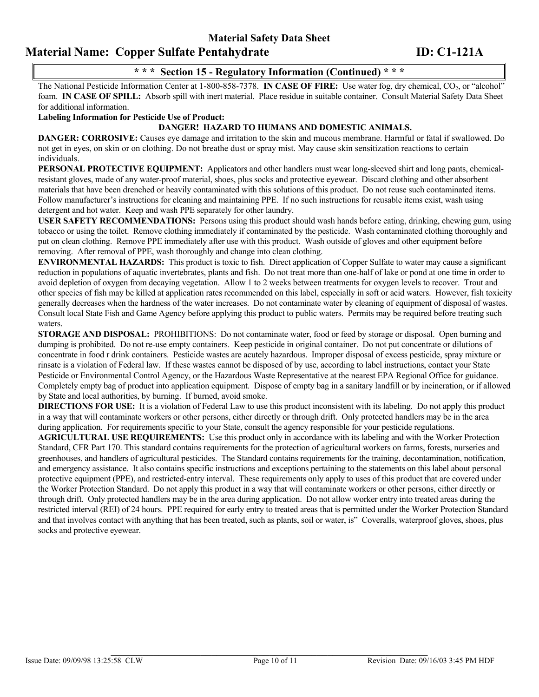# **Material Safety Data Sheet Material Name: Copper Sulfate Pentahydrate ID: C1-121A**

# **\* \* \* Section 15 - Regulatory Information (Continued) \* \* \***

The National Pesticide Information Center at 1-800-858-7378. **IN CASE OF FIRE:** Use water fog, dry chemical, CO<sub>2</sub>, or "alcohol" foam. **IN CASE OF SPILL:** Absorb spill with inert material. Place residue in suitable container. Consult Material Safety Data Sheet for additional information.

**Labeling Information for Pesticide Use of Product:** 

#### **DANGER! HAZARD TO HUMANS AND DOMESTIC ANIMALS.**

**DANGER: CORROSIVE:** Causes eye damage and irritation to the skin and mucous membrane. Harmful or fatal if swallowed. Do not get in eyes, on skin or on clothing. Do not breathe dust or spray mist. May cause skin sensitization reactions to certain individuals.

**PERSONAL PROTECTIVE EQUIPMENT:** Applicators and other handlers must wear long-sleeved shirt and long pants, chemicalresistant gloves, made of any water-proof material, shoes, plus socks and protective eyewear. Discard clothing and other absorbent materials that have been drenched or heavily contaminated with this solutions of this product. Do not reuse such contaminated items. Follow manufacturer's instructions for cleaning and maintaining PPE. If no such instructions for reusable items exist, wash using detergent and hot water. Keep and wash PPE separately for other laundry.

**USER SAFETY RECOMMENDATIONS:** Persons using this product should wash hands before eating, drinking, chewing gum, using tobacco or using the toilet. Remove clothing immediately if contaminated by the pesticide. Wash contaminated clothing thoroughly and put on clean clothing. Remove PPE immediately after use with this product. Wash outside of gloves and other equipment before removing. After removal of PPE, wash thoroughly and change into clean clothing.

**ENVIRONMENTAL HAZARDS:** This product is toxic to fish. Direct application of Copper Sulfate to water may cause a significant reduction in populations of aquatic invertebrates, plants and fish. Do not treat more than one-half of lake or pond at one time in order to avoid depletion of oxygen from decaying vegetation. Allow 1 to 2 weeks between treatments for oxygen levels to recover. Trout and other species of fish may be killed at application rates recommended on this label, especially in soft or acid waters. However, fish toxicity generally decreases when the hardness of the water increases. Do not contaminate water by cleaning of equipment of disposal of wastes. Consult local State Fish and Game Agency before applying this product to public waters. Permits may be required before treating such waters.

**STORAGE AND DISPOSAL:** PROHIBITIONS: Do not contaminate water, food or feed by storage or disposal. Open burning and dumping is prohibited. Do not re-use empty containers. Keep pesticide in original container. Do not put concentrate or dilutions of concentrate in food r drink containers. Pesticide wastes are acutely hazardous. Improper disposal of excess pesticide, spray mixture or rinsate is a violation of Federal law. If these wastes cannot be disposed of by use, according to label instructions, contact your State Pesticide or Environmental Control Agency, or the Hazardous Waste Representative at the nearest EPA Regional Office for guidance. Completely empty bag of product into application equipment. Dispose of empty bag in a sanitary landfill or by incineration, or if allowed by State and local authorities, by burning. If burned, avoid smoke.

**DIRECTIONS FOR USE:** It is a violation of Federal Law to use this product inconsistent with its labeling. Do not apply this product in a way that will contaminate workers or other persons, either directly or through drift. Only protected handlers may be in the area during application. For requirements specific to your State, consult the agency responsible for your pesticide regulations.

**AGRICULTURAL USE REQUIREMENTS:** Use this product only in accordance with its labeling and with the Worker Protection Standard, CFR Part 170. This standard contains requirements for the protection of agricultural workers on farms, forests, nurseries and greenhouses, and handlers of agricultural pesticides. The Standard contains requirements for the training, decontamination, notification, and emergency assistance. It also contains specific instructions and exceptions pertaining to the statements on this label about personal protective equipment (PPE), and restricted-entry interval. These requirements only apply to uses of this product that are covered under the Worker Protection Standard. Do not apply this product in a way that will contaminate workers or other persons, either directly or through drift. Only protected handlers may be in the area during application. Do not allow worker entry into treated areas during the restricted interval (REI) of 24 hours. PPE required for early entry to treated areas that is permitted under the Worker Protection Standard and that involves contact with anything that has been treated, such as plants, soil or water, is" Coveralls, waterproof gloves, shoes, plus socks and protective eyewear.